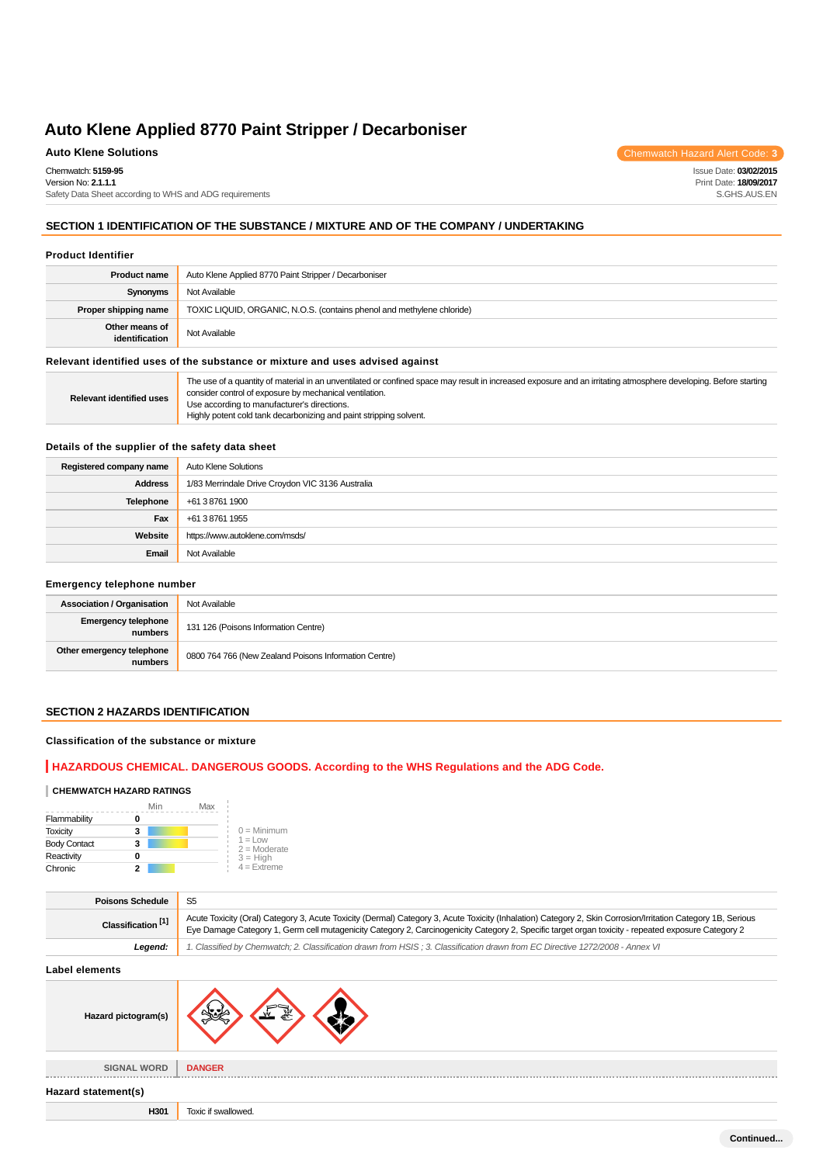# **Auto Klene Solutions** Chemwatch Hazard Alert Code: 3

Chemwatch: **5159-95** Version No: **2.1.1.1**

Safety Data Sheet according to WHS and ADG requirements

# **SECTION 1 IDENTIFICATION OF THE SUBSTANCE / MIXTURE AND OF THE COMPANY / UNDERTAKING**

#### **Product Identifier**

| <b>Product name</b>                                                           | Auto Klene Applied 8770 Paint Stripper / Decarboniser                  |  |
|-------------------------------------------------------------------------------|------------------------------------------------------------------------|--|
| Synonyms                                                                      | Not Available                                                          |  |
| Proper shipping name                                                          | TOXIC LIQUID, ORGANIC, N.O.S. (contains phenol and methylene chloride) |  |
| Other means of<br>identification                                              | Not Available                                                          |  |
| Relevant identified uses of the substance or mixture and uses advised against |                                                                        |  |

**Relevant identified uses** The use of a quantity of material in an unventilated or confined space may result in increased exposure and an irritating atmosphere developing. Before starting consider control of exposure by mechanical ventilation. Use according to manufacturer's directions. Highly potent cold tank decarbonizing and paint stripping solvent.

### **Details of the supplier of the safety data sheet**

| Registered company name | Auto Klene Solutions                             |
|-------------------------|--------------------------------------------------|
| <b>Address</b>          | 1/83 Merrindale Drive Croydon VIC 3136 Australia |
| Telephone               | +61 3 8761 1900                                  |
| Fax                     | +61 3 8761 1955                                  |
| Website                 | https://www.autoklene.com/msds/                  |
| Email                   | Not Available                                    |

#### **Emergency telephone number**

| <b>Association / Organisation</b>    | Not Available                                         |
|--------------------------------------|-------------------------------------------------------|
| Emergency telephone<br>numbers       | 131 126 (Poisons Information Centre)                  |
| Other emergency telephone<br>numbers | 0800 764 766 (New Zealand Poisons Information Centre) |

### **SECTION 2 HAZARDS IDENTIFICATION**

#### **Classification of the substance or mixture**

# **HAZARDOUS CHEMICAL. DANGEROUS GOODS. According to the WHS Regulations and the ADG Code.**

# **CHEMWATCH HAZARD RATINGS**

|                     | Min | Max |                              |
|---------------------|-----|-----|------------------------------|
| Flammability        |     |     |                              |
| <b>Toxicity</b>     | 3   |     | $0 =$ Minimum                |
| <b>Body Contact</b> | 3   |     | $1 = 1$ ow<br>$2 =$ Moderate |
| Reactivity          | o   |     | $3 = High$                   |
| Chronic             |     |     | $4 =$ Extreme                |

| <b>Poisons Schedule</b>       |                                                                                                                                                                                                                                                                                                                     |
|-------------------------------|---------------------------------------------------------------------------------------------------------------------------------------------------------------------------------------------------------------------------------------------------------------------------------------------------------------------|
| Classification <sup>[1]</sup> | Acute Toxicity (Oral) Category 3, Acute Toxicity (Dermal) Category 3, Acute Toxicity (Inhalation) Category 2, Skin Corrosion/Irritation Category 1B, Serious<br>Eye Damage Category 1, Germ cell mutagenicity Category 2, Carcinogenicity Category 2, Specific target organ toxicity - repeated exposure Category 2 |
| Leaend:                       | 1. Classified by Chemwatch; 2. Classification drawn from HSIS; 3. Classification drawn from EC Directive 1272/2008 - Annex VI                                                                                                                                                                                       |

#### **Label elements**

| Hazard pictogram(s) | لامك                |
|---------------------|---------------------|
| <b>SIGNAL WORD</b>  | <b>DANGER</b>       |
| Hazard statement(s) |                     |
| H301                | Toxic if swallowed. |

Issue Date: **03/02/2015**

Print Date: **18/09/2017** S.GHS.AUS.EN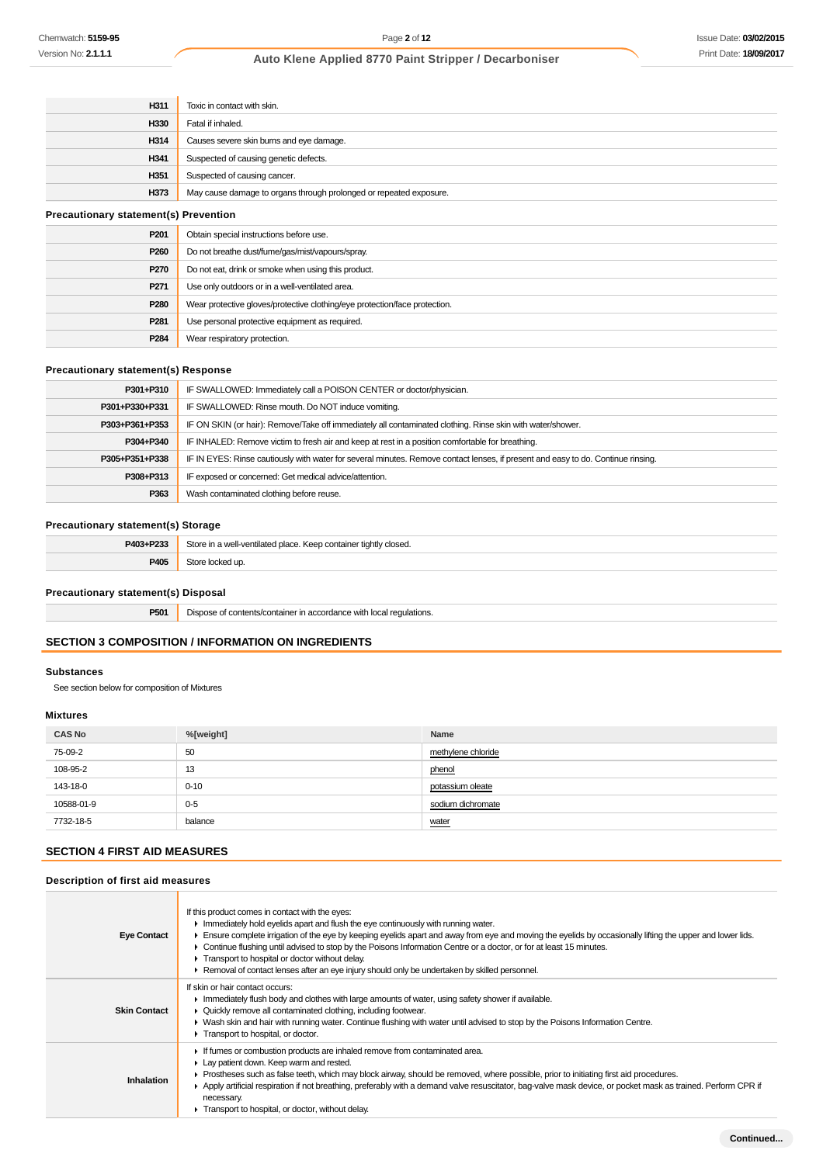| H311                                         | Toxic in contact with skin.                                                |  |
|----------------------------------------------|----------------------------------------------------------------------------|--|
| H330                                         | Fatal if inhaled.                                                          |  |
| H314                                         | Causes severe skin burns and eye damage.                                   |  |
| H341                                         | Suspected of causing genetic defects.                                      |  |
| H351                                         | Suspected of causing cancer.                                               |  |
| H373                                         | May cause damage to organs through prolonged or repeated exposure.         |  |
| <b>Precautionary statement(s) Prevention</b> |                                                                            |  |
| P <sub>201</sub>                             | Obtain special instructions before use.                                    |  |
| P260                                         | Do not breathe dust/fume/gas/mist/vapours/spray.                           |  |
| P270                                         | Do not eat, drink or smoke when using this product.                        |  |
| P <sub>271</sub>                             | Use only outdoors or in a well-ventilated area.                            |  |
| P280                                         | Wear protective gloves/protective clothing/eye protection/face protection. |  |
| P <sub>281</sub>                             | Use personal protective equipment as required.                             |  |
| P284                                         | Wear respiratory protection.                                               |  |

# **Precautionary statement(s) Response**

| P301+P310      | IF SWALLOWED: Immediately call a POISON CENTER or doctor/physician.                                                              |
|----------------|----------------------------------------------------------------------------------------------------------------------------------|
| P301+P330+P331 | IF SWALLOWED: Rinse mouth. Do NOT induce vomiting.                                                                               |
| P303+P361+P353 | IF ON SKIN (or hair): Remove/Take off immediately all contaminated clothing. Rinse skin with water/shower.                       |
| P304+P340      | IF INHALED: Remove victim to fresh air and keep at rest in a position comfortable for breathing.                                 |
| P305+P351+P338 | IF IN EYES: Rinse cautiously with water for several minutes. Remove contact lenses, if present and easy to do. Continue rinsing. |
| P308+P313      | IF exposed or concerned: Get medical advice/attention.                                                                           |
| P363           | Wash contaminated clothing before reuse.                                                                                         |

# **Precautionary statement(s) Storage**

| P403+P233 | Store in a well-ventilated place. Keep container tightly closed. |
|-----------|------------------------------------------------------------------|
| P405      | Store locked up.                                                 |

### **Precautionary statement(s) Disposal**

**P501** Dispose of contents/container in accordance with local regulations.

# **SECTION 3 COMPOSITION / INFORMATION ON INGREDIENTS**

### **Substances**

See section below for composition of Mixtures

#### **Mixtures**

| <b>CAS No</b> | %[weight] | Name               |
|---------------|-----------|--------------------|
| 75-09-2       | 50        | methylene chloride |
| 108-95-2      | 13        | phenol             |
| 143-18-0      | $0 - 10$  | potassium oleate   |
| 10588-01-9    | $0 - 5$   | sodium dichromate  |
| 7732-18-5     | balance   | water              |

# **SECTION 4 FIRST AID MEASURES**

#### **Description of first aid measures**

| <b>Eye Contact</b>  | If this product comes in contact with the eyes:<br>Inmediately hold eyelids apart and flush the eye continuously with running water.<br>Ensure complete irrigation of the eye by keeping eyelids apart and away from eye and moving the eyelids by occasionally lifting the upper and lower lids.<br>• Continue flushing until advised to stop by the Poisons Information Centre or a doctor, or for at least 15 minutes.<br>Transport to hospital or doctor without delay.<br>► Removal of contact lenses after an eye injury should only be undertaken by skilled personnel. |
|---------------------|--------------------------------------------------------------------------------------------------------------------------------------------------------------------------------------------------------------------------------------------------------------------------------------------------------------------------------------------------------------------------------------------------------------------------------------------------------------------------------------------------------------------------------------------------------------------------------|
| <b>Skin Contact</b> | If skin or hair contact occurs:<br>Immediately flush body and clothes with large amounts of water, using safety shower if available.<br>• Quickly remove all contaminated clothing, including footwear.<br>► Wash skin and hair with running water. Continue flushing with water until advised to stop by the Poisons Information Centre.<br>Transport to hospital, or doctor.                                                                                                                                                                                                 |
| Inhalation          | If fumes or combustion products are inhaled remove from contaminated area.<br>Lay patient down. Keep warm and rested.<br>► Prostheses such as false teeth, which may block airway, should be removed, where possible, prior to initiating first aid procedures.<br>Apply artificial respiration if not breathing, preferably with a demand valve resuscitator, bag-valve mask device, or pocket mask as trained. Perform CPR if<br>necessary.<br>Transport to hospital, or doctor, without delay.                                                                              |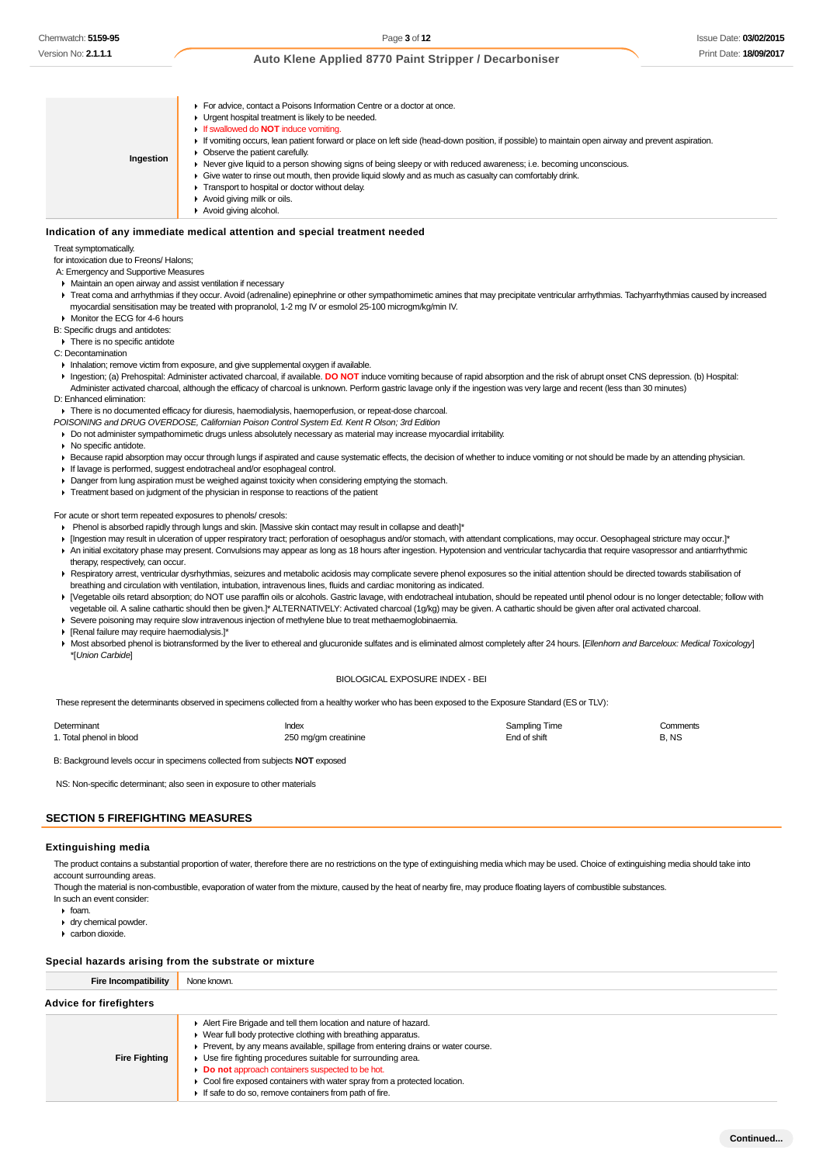- **Ingestion For advice, contact a Poisons Information Centre or a doctor at once. I** Urgent hospital treatment is likely to be needed. If swallowed do **NOT** induce vomiting. If vomiting occurs, lean patient forward or place on left side (head-down position, if possible) to maintain open airway and prevent aspiration. ▶ Observe the patient carefully. Never give liquid to a person showing signs of being sleepy or with reduced awareness; i.e. becoming unconscious. Give water to rinse out mouth, then provide liquid slowly and as much as casualty can comfortably drink. **Transport to hospital or doctor without delay.** Avoid giving milk or oils.
	- ▶ Avoid giving alcohol.

### **Indication of any immediate medical attention and special treatment needed**

Treat symptomatically.

for intoxication due to Freons/ Halons;

A: Emergency and Supportive Measures

- Maintain an open airway and assist ventilation if necessary
- F Treat coma and arrhythmias if they occur. Avoid (adrenaline) epinephrine or other sympathomimetic amines that may precipitate ventricular arrhythmias. Tachyarrhythmias caused by increased myocardial sensitisation may be treated with propranolol, 1-2 mg IV or esmolol 25-100 microgm/kg/min IV.

Monitor the ECG for 4-6 hours

B: Specific drugs and antidotes:

 $\overline{\phantom{a}}$  There is no specific antidote

- C: Decontamination
- Inhalation; remove victim from exposure, and give supplemental oxygen if available.
- Ingestion; (a) Prehospital: Administer activated charcoal, if available. **DO NOT** induce vomiting because of rapid absorption and the risk of abrupt onset CNS depression. (b) Hospital: Administer activated charcoal, although the efficacy of charcoal is unknown. Perform gastric lavage only if the ingestion was very large and recent (less than 30 minutes)
- D: Enhanced elimination:

There is no documented efficacy for diuresis, haemodialysis, haemoperfusion, or repeat-dose charcoal.

POISONING and DRUG OVERDOSE, Californian Poison Control System Ed. Kent R Olson; 3rd Edition

- Do not administer sympathomimetic drugs unless absolutely necessary as material may increase myocardial irritability.
- ▶ No specific antidote.
- Because rapid absorption may occur through lungs if aspirated and cause systematic effects, the decision of whether to induce vomiting or not should be made by an attending physician.
- If lavage is performed, suggest endotracheal and/or esophageal control.
- Danger from lung aspiration must be weighed against toxicity when considering emptying the stomach.
- Treatment based on judgment of the physician in response to reactions of the patient

For acute or short term repeated exposures to phenols/ cresols:

- Phenol is absorbed rapidly through lungs and skin. [Massive skin contact may result in collapse and death]\*
- [Ingestion may result in ulceration of upper respiratory tract; perforation of oesophagus and/or stomach, with attendant complications, may occur. Oesophageal stricture may occur.]\*
- An initial excitatory phase may present. Convulsions may appear as long as 18 hours after ingestion. Hypotension and ventricular tachycardia that require vasopressor and antiarrhythmic therapy, respectively, can occur.
- ▶ Respiratory arrest, ventricular dysrhythmias, seizures and metabolic acidosis may complicate severe phenol exposures so the initial attention should be directed towards stabilisation of breathing and circulation with ventilation, intubation, intravenous lines, fluids and cardiac monitoring as indicated.
- ▶ [Vegetable oils retard absorption; do NOT use paraffin oils or alcohols. Gastric lavage, with endotracheal intubation, should be repeated until phenol odour is no longer detectable; follow with vegetable oil. A saline cathartic should then be given.]\* ALTERNATIVELY: Activated charcoal (1g/kg) may be given. A cathartic should be given after oral activated charcoal.
- Severe poisoning may require slow intravenous injection of methylene blue to treat methaemoglobinaemia.
- [Renal failure may require haemodialysis.]\*
- Most absorbed phenol is biotransformed by the liver to ethereal and glucuronide sulfates and is eliminated almost completely after 24 hours. [Ellenhorn and Barceloux: Medical Toxicology] \*[Union Carbide]

#### BIOLOGICAL EXPOSURE INDEX - BEI

These represent the determinants observed in specimens collected from a healthy worker who has been exposed to the Exposure Standard (ES or TLV):

| Determinant              | Index                | Sampling Time | Comments |
|--------------------------|----------------------|---------------|----------|
| 1. Total phenol in blood | 250 mg/gm creatinine | End of shift  | B. NS    |

B: Background levels occur in specimens collected from subjects **NOT** exposed

NS: Non-specific determinant; also seen in exposure to other materials

# **SECTION 5 FIREFIGHTING MEASURES**

#### **Extinguishing media**

The product contains a substantial proportion of water, therefore there are no restrictions on the type of extinguishing media which may be used. Choice of extinguishing media should take into account surrounding areas.

Though the material is non-combustible, evaporation of water from the mixture, caused by the heat of nearby fire, may produce floating layers of combustible substances. In such an event consider:

- $\triangleright$  foam.
- ▶ dry chemical powder.
- carbon dioxide.

#### **Special hazards arising from the substrate or mixture**

| <b>Fire Incompatibility</b>    | None known.                                                                                                                                                                                                                                                                                                                                                                                                                                                                        |  |  |
|--------------------------------|------------------------------------------------------------------------------------------------------------------------------------------------------------------------------------------------------------------------------------------------------------------------------------------------------------------------------------------------------------------------------------------------------------------------------------------------------------------------------------|--|--|
| <b>Advice for firefighters</b> |                                                                                                                                                                                                                                                                                                                                                                                                                                                                                    |  |  |
| <b>Fire Fighting</b>           | Alert Fire Brigade and tell them location and nature of hazard.<br>• Wear full body protective clothing with breathing apparatus.<br>• Prevent, by any means available, spillage from entering drains or water course.<br>• Use fire fighting procedures suitable for surrounding area.<br>Do not approach containers suspected to be hot.<br>• Cool fire exposed containers with water spray from a protected location.<br>If safe to do so, remove containers from path of fire. |  |  |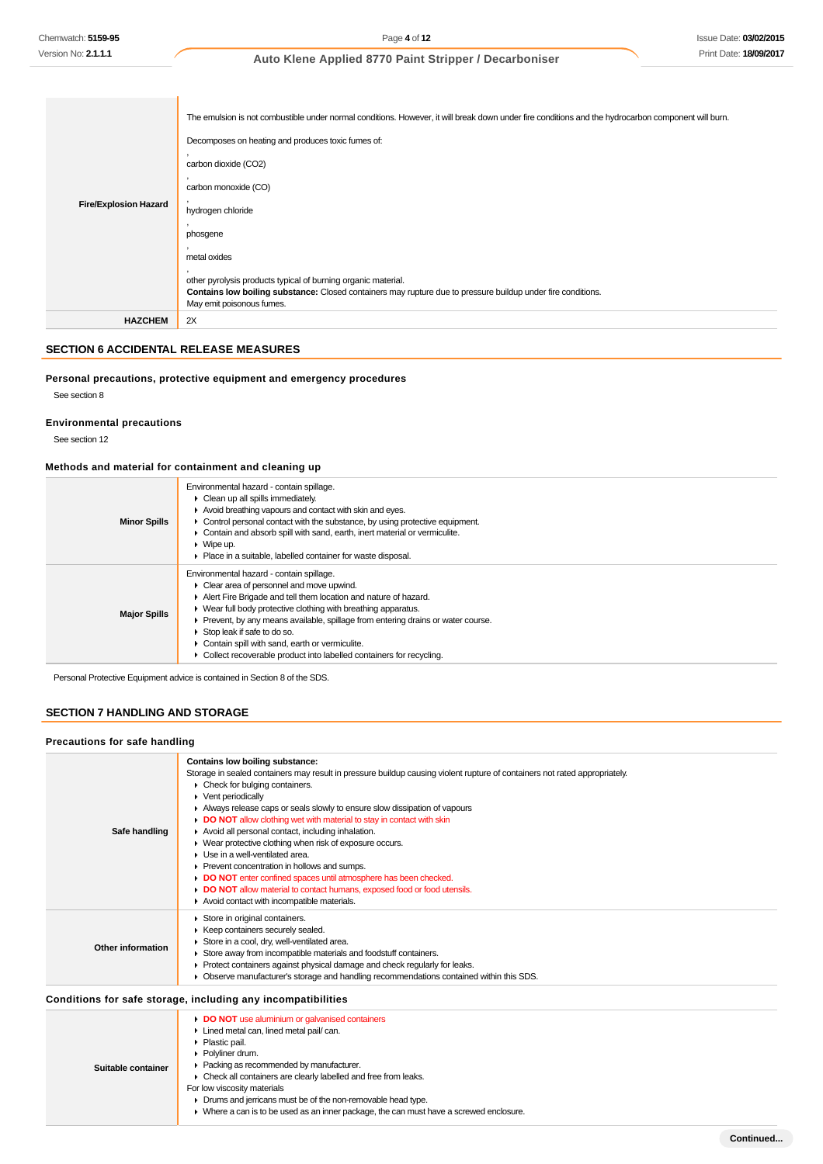| <b>Fire/Explosion Hazard</b> | The emulsion is not combustible under normal conditions. However, it will break down under fire conditions and the hydrocarbon component will burn.<br>Decomposes on heating and produces toxic fumes of:<br>carbon dioxide (CO2)<br>carbon monoxide (CO)<br>hydrogen chloride<br>phosgene<br>metal oxides<br>other pyrolysis products typical of burning organic material.<br>Contains low boiling substance: Closed containers may rupture due to pressure buildup under fire conditions.<br>May emit poisonous fumes. |
|------------------------------|--------------------------------------------------------------------------------------------------------------------------------------------------------------------------------------------------------------------------------------------------------------------------------------------------------------------------------------------------------------------------------------------------------------------------------------------------------------------------------------------------------------------------|
| <b>HAZCHEM</b>               | 2X                                                                                                                                                                                                                                                                                                                                                                                                                                                                                                                       |

# **SECTION 6 ACCIDENTAL RELEASE MEASURES**

### **Personal precautions, protective equipment and emergency procedures**

See section 8

#### **Environmental precautions**

See section 12

# **Methods and material for containment and cleaning up**

| <b>Minor Spills</b> | Environmental hazard - contain spillage.<br>• Clean up all spills immediately.<br>Avoid breathing vapours and contact with skin and eyes.<br>$\triangleright$ Control personal contact with the substance, by using protective equipment.<br>Contain and absorb spill with sand, earth, inert material or vermiculite.<br>$\triangleright$ Wipe up.<br>• Place in a suitable, labelled container for waste disposal.                                                                         |
|---------------------|----------------------------------------------------------------------------------------------------------------------------------------------------------------------------------------------------------------------------------------------------------------------------------------------------------------------------------------------------------------------------------------------------------------------------------------------------------------------------------------------|
| <b>Major Spills</b> | Environmental hazard - contain spillage.<br>• Clear area of personnel and move upwind.<br>Alert Fire Brigade and tell them location and nature of hazard.<br>$\blacktriangleright$ Wear full body protective clothing with breathing apparatus.<br>• Prevent, by any means available, spillage from entering drains or water course.<br>Stop leak if safe to do so.<br>Contain spill with sand, earth or vermiculite.<br>Collect recoverable product into labelled containers for recycling. |

Personal Protective Equipment advice is contained in Section 8 of the SDS.

### **SECTION 7 HANDLING AND STORAGE**

#### **Precautions for safe handling**

| n recautions for sare nanumiy |                                                                                                                                                                                                                                                                                                                                                                                                                                                                                                                                                                                                                                                                                                                                                                                                       |
|-------------------------------|-------------------------------------------------------------------------------------------------------------------------------------------------------------------------------------------------------------------------------------------------------------------------------------------------------------------------------------------------------------------------------------------------------------------------------------------------------------------------------------------------------------------------------------------------------------------------------------------------------------------------------------------------------------------------------------------------------------------------------------------------------------------------------------------------------|
| Safe handling                 | Contains low boiling substance:<br>Storage in sealed containers may result in pressure buildup causing violent rupture of containers not rated appropriately.<br>• Check for bulging containers.<br>$\blacktriangleright$ Vent periodically<br>Always release caps or seals slowly to ensure slow dissipation of vapours<br><b>DO NOT</b> allow clothing wet with material to stay in contact with skin<br>Avoid all personal contact, including inhalation.<br>• Wear protective clothing when risk of exposure occurs.<br>Use in a well-ventilated area.<br>Prevent concentration in hollows and sumps.<br>DO NOT enter confined spaces until atmosphere has been checked.<br>DO NOT allow material to contact humans, exposed food or food utensils.<br>Avoid contact with incompatible materials. |
| Other information             | Store in original containers.<br>Keep containers securely sealed.<br>Store in a cool, dry, well-ventilated area.<br>Store away from incompatible materials and foodstuff containers.<br>Protect containers against physical damage and check regularly for leaks.<br>Observe manufacturer's storage and handling recommendations contained within this SDS.                                                                                                                                                                                                                                                                                                                                                                                                                                           |
|                               | Conditions for safe storage, including any incompatibilities                                                                                                                                                                                                                                                                                                                                                                                                                                                                                                                                                                                                                                                                                                                                          |
| Suitable container            | DO NOT use aluminium or galvanised containers<br>Lined metal can, lined metal pail/ can.<br>Plastic pail.<br>Polyliner drum.<br>Packing as recommended by manufacturer.<br>• Check all containers are clearly labelled and free from leaks.<br>For low viscosity materials<br>Drums and jerricans must be of the non-removable head type.<br>• Where a can is to be used as an inner package, the can must have a screwed enclosure.                                                                                                                                                                                                                                                                                                                                                                  |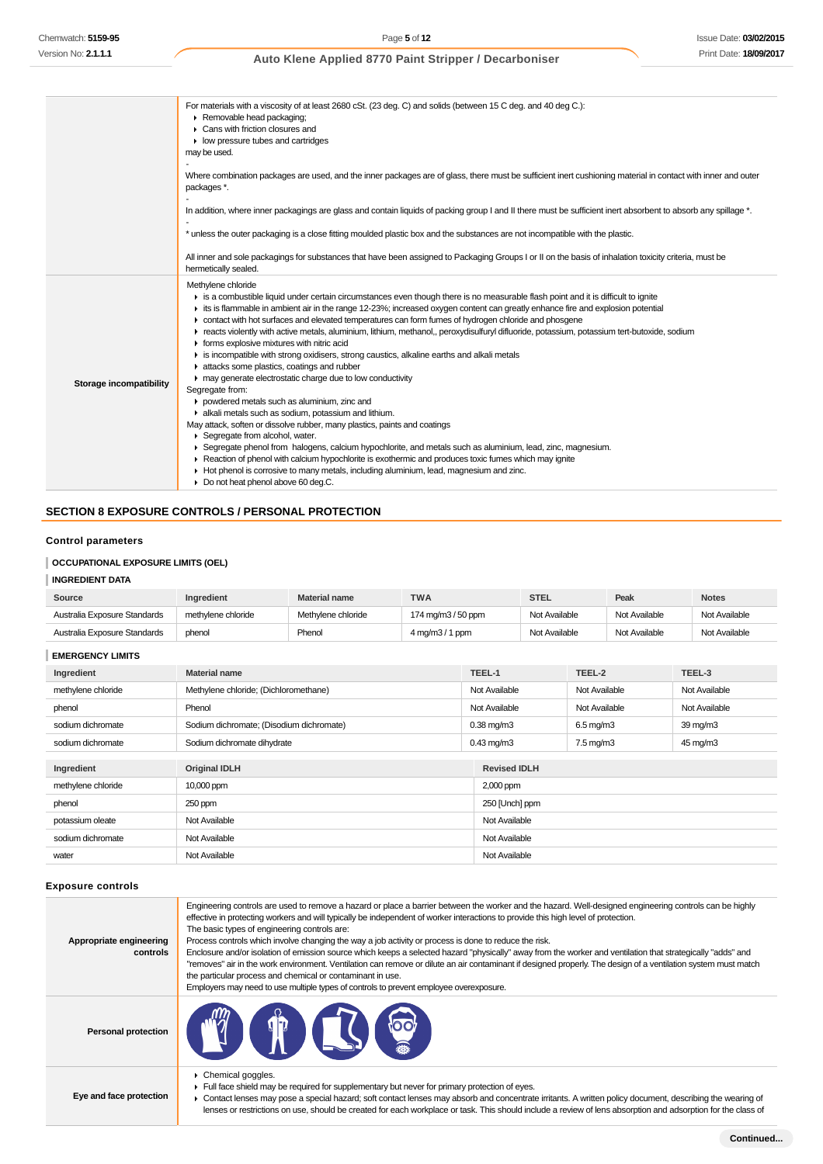|                         | For materials with a viscosity of at least 2680 cSt. (23 deg. C) and solids (between 15 C deg. and 40 deg C.):<br>Removable head packaging;<br>▶ Cans with friction closures and<br>$\blacktriangleright$ low pressure tubes and cartridges<br>may be used.                                                                                                                                                                                                                                                                                                                                                                                                                                                                                                                                                                                                                                                                                                                                                                                                                                                                                                                                                                                                                                                                                                                                                         |
|-------------------------|---------------------------------------------------------------------------------------------------------------------------------------------------------------------------------------------------------------------------------------------------------------------------------------------------------------------------------------------------------------------------------------------------------------------------------------------------------------------------------------------------------------------------------------------------------------------------------------------------------------------------------------------------------------------------------------------------------------------------------------------------------------------------------------------------------------------------------------------------------------------------------------------------------------------------------------------------------------------------------------------------------------------------------------------------------------------------------------------------------------------------------------------------------------------------------------------------------------------------------------------------------------------------------------------------------------------------------------------------------------------------------------------------------------------|
|                         | Where combination packages are used, and the inner packages are of glass, there must be sufficient inert cushioning material in contact with inner and outer<br>packages *.                                                                                                                                                                                                                                                                                                                                                                                                                                                                                                                                                                                                                                                                                                                                                                                                                                                                                                                                                                                                                                                                                                                                                                                                                                         |
|                         | In addition, where inner packagings are glass and contain liquids of packing group I and II there must be sufficient inert absorbent to absorb any spillage *.                                                                                                                                                                                                                                                                                                                                                                                                                                                                                                                                                                                                                                                                                                                                                                                                                                                                                                                                                                                                                                                                                                                                                                                                                                                      |
|                         | * unless the outer packaging is a close fitting moulded plastic box and the substances are not incompatible with the plastic.                                                                                                                                                                                                                                                                                                                                                                                                                                                                                                                                                                                                                                                                                                                                                                                                                                                                                                                                                                                                                                                                                                                                                                                                                                                                                       |
|                         | All inner and sole packagings for substances that have been assigned to Packaging Groups I or II on the basis of inhalation toxicity criteria, must be<br>hermetically sealed.                                                                                                                                                                                                                                                                                                                                                                                                                                                                                                                                                                                                                                                                                                                                                                                                                                                                                                                                                                                                                                                                                                                                                                                                                                      |
| Storage incompatibility | Methylene chloride<br>is a combustible liquid under certain circumstances even though there is no measurable flash point and it is difficult to ignite<br>is is flammable in ambient air in the range 12-23%; increased oxygen content can greatly enhance fire and explosion potential<br>• contact with hot surfaces and elevated temperatures can form fumes of hydrogen chloride and phosgene<br>F reacts violently with active metals, aluminium, lithium, methanol,, peroxydisulfuryl difluoride, potassium, potassium tert-butoxide, sodium<br>• forms explosive mixtures with nitric acid<br>is incompatible with strong oxidisers, strong caustics, alkaline earths and alkali metals<br>in attacks some plastics, coatings and rubber<br>may generate electrostatic charge due to low conductivity<br>Segregate from:<br>powdered metals such as aluminium, zinc and<br>alkali metals such as sodium, potassium and lithium.<br>May attack, soften or dissolve rubber, many plastics, paints and coatings<br>▶ Segregate from alcohol, water.<br>▶ Segregate phenol from halogens, calcium hypochlorite, and metals such as aluminium, lead, zinc, magnesium.<br>▶ Reaction of phenol with calcium hypochlorite is exothermic and produces toxic fumes which may ignite<br>► Hot phenol is corrosive to many metals, including aluminium, lead, magnesium and zinc.<br>Do not heat phenol above 60 deq.C. |

# **SECTION 8 EXPOSURE CONTROLS / PERSONAL PROTECTION**

# **Control parameters**

# **OCCUPATIONAL EXPOSURE LIMITS (OEL)**

# **INGREDIENT DATA**

| Source                       | <b>Ingredient</b>  | <b>Material name</b> | <b>TWA</b>                            | <b>STEL</b>   | Peak          | <b>Notes</b>  |
|------------------------------|--------------------|----------------------|---------------------------------------|---------------|---------------|---------------|
| Australia Exposure Standards | methylene chloride | Methylene chloride   | 174 mg/m3 / 50 ppm                    | Not Available | Not Available | Not Available |
| Australia Exposure Standards | phenol             | Phenol               | $4 \,\mathrm{mq/m}3/1 \,\mathrm{ppm}$ | Not Available | Not Available | Not Available |

| Ingredient         | <b>Material name</b>                     | TEEL-1              | TEEL-2               | TEEL-3               |
|--------------------|------------------------------------------|---------------------|----------------------|----------------------|
| methylene chloride | Methylene chloride; (Dichloromethane)    | Not Available       | Not Available        | Not Available        |
| phenol             | Phenol                                   | Not Available       | Not Available        | Not Available        |
| sodium dichromate  | Sodium dichromate; (Disodium dichromate) | $0.38$ mg/m $3$     | $6.5 \text{ mg/m}$ 3 | $39 \,\mathrm{mq/m}$ |
| sodium dichromate  | Sodium dichromate dihydrate              | $0.43$ mg/m $3$     | $7.5 \text{ mg/m}$ 3 | 45 mg/m3             |
|                    |                                          |                     |                      |                      |
| Ingredient         | <b>Original IDLH</b>                     | <b>Revised IDLH</b> |                      |                      |
| methylene chloride | 10,000 ppm                               | 2,000 ppm           |                      |                      |
| phenol             | 250 ppm<br>250 [Unch] ppm                |                     |                      |                      |
| potassium oleate   | Not Available                            | Not Available       |                      |                      |
| sodium dichromate  | Not Available                            | Not Available       |                      |                      |
| water              | Not Available                            | Not Available       |                      |                      |

#### **Exposure controls**

| Appropriate engineering<br>controls | Engineering controls are used to remove a hazard or place a barrier between the worker and the hazard. Well-designed engineering controls can be highly<br>effective in protecting workers and will typically be independent of worker interactions to provide this high level of protection.<br>The basic types of engineering controls are:<br>Process controls which involve changing the way a job activity or process is done to reduce the risk.<br>Enclosure and/or isolation of emission source which keeps a selected hazard "physically" away from the worker and ventilation that strategically "adds" and<br>"removes" air in the work environment. Ventilation can remove or dilute an air contaminant if designed properly. The design of a ventilation system must match<br>the particular process and chemical or contaminant in use.<br>Employers may need to use multiple types of controls to prevent employee overexposure. |
|-------------------------------------|-------------------------------------------------------------------------------------------------------------------------------------------------------------------------------------------------------------------------------------------------------------------------------------------------------------------------------------------------------------------------------------------------------------------------------------------------------------------------------------------------------------------------------------------------------------------------------------------------------------------------------------------------------------------------------------------------------------------------------------------------------------------------------------------------------------------------------------------------------------------------------------------------------------------------------------------------|
| <b>Personal protection</b>          |                                                                                                                                                                                                                                                                                                                                                                                                                                                                                                                                                                                                                                                                                                                                                                                                                                                                                                                                                 |
| Eye and face protection             | $\triangleright$ Chemical goggles.<br>Full face shield may be required for supplementary but never for primary protection of eyes.<br>► Contact lenses may pose a special hazard; soft contact lenses may absorb and concentrate irritants. A written policy document, describing the wearing of                                                                                                                                                                                                                                                                                                                                                                                                                                                                                                                                                                                                                                                |

lenses or restrictions on use, should be created for each workplace or task. This should include a review of lens absorption and adsorption for the class of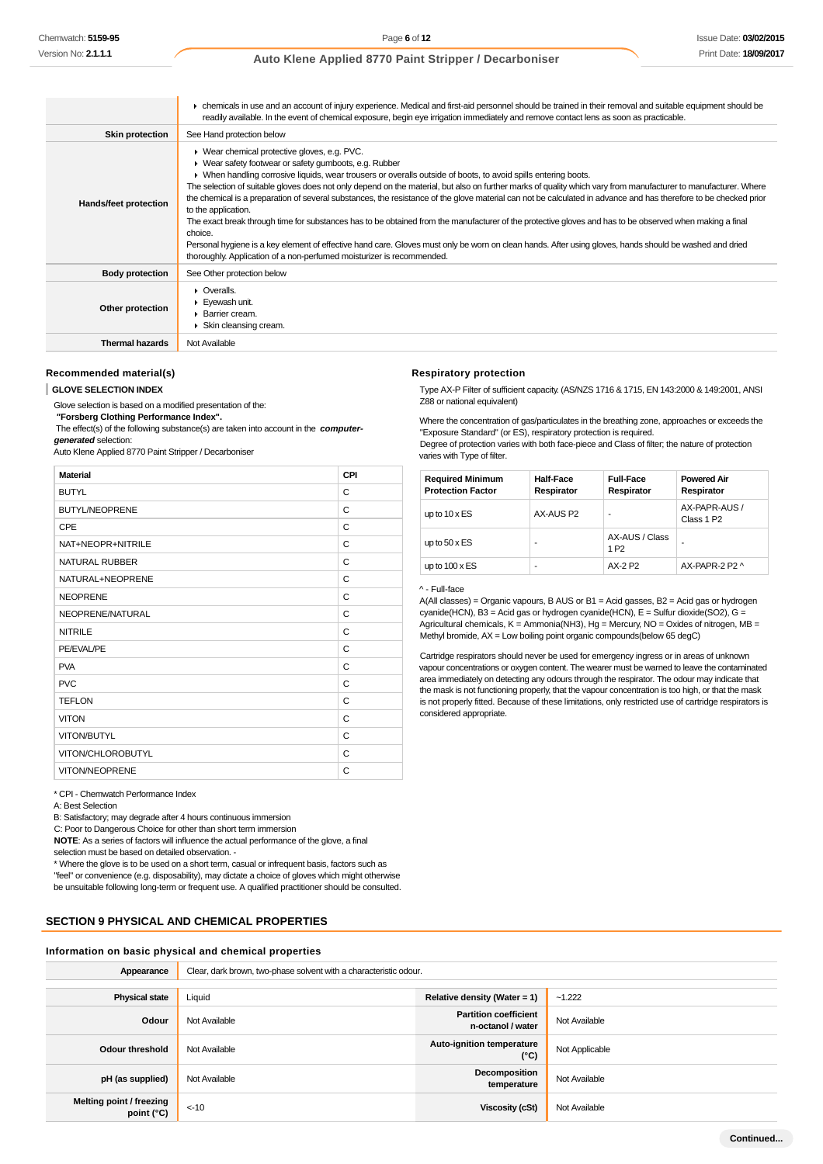|                        | • chemicals in use and an account of injury experience. Medical and first-aid personnel should be trained in their removal and suitable equipment should be<br>readily available. In the event of chemical exposure, begin eye irrigation immediately and remove contact lens as soon as practicable.                                                                                                                                                                                                                                                                                                                                                                                                                                                                                                                                                                                                                                                                                             |
|------------------------|---------------------------------------------------------------------------------------------------------------------------------------------------------------------------------------------------------------------------------------------------------------------------------------------------------------------------------------------------------------------------------------------------------------------------------------------------------------------------------------------------------------------------------------------------------------------------------------------------------------------------------------------------------------------------------------------------------------------------------------------------------------------------------------------------------------------------------------------------------------------------------------------------------------------------------------------------------------------------------------------------|
| <b>Skin protection</b> | See Hand protection below                                                                                                                                                                                                                                                                                                                                                                                                                                                                                                                                                                                                                                                                                                                                                                                                                                                                                                                                                                         |
| Hands/feet protection  | ▶ Wear chemical protective gloves, e.g. PVC.<br>▶ Wear safety footwear or safety gumboots, e.g. Rubber<br>▶ When handling corrosive liquids, wear trousers or overalls outside of boots, to avoid spills entering boots.<br>The selection of suitable gloves does not only depend on the material, but also on further marks of quality which vary from manufacturer to manufacturer. Where<br>the chemical is a preparation of several substances, the resistance of the glove material can not be calculated in advance and has therefore to be checked prior<br>to the application.<br>The exact break through time for substances has to be obtained from the manufacturer of the protective gloves and has to be observed when making a final<br>choice.<br>Personal hygiene is a key element of effective hand care. Gloves must only be worn on clean hands. After using gloves, hands should be washed and dried<br>thoroughly. Application of a non-perfumed moisturizer is recommended. |
| <b>Body protection</b> | See Other protection below                                                                                                                                                                                                                                                                                                                                                                                                                                                                                                                                                                                                                                                                                                                                                                                                                                                                                                                                                                        |
| Other protection       | • Overalls.<br>Eyewash unit.<br>▶ Barrier cream.<br>Skin cleansing cream.                                                                                                                                                                                                                                                                                                                                                                                                                                                                                                                                                                                                                                                                                                                                                                                                                                                                                                                         |
| <b>Thermal hazards</b> | Not Available                                                                                                                                                                                                                                                                                                                                                                                                                                                                                                                                                                                                                                                                                                                                                                                                                                                                                                                                                                                     |

#### **Recommended material(s)**

#### **GLOVE SELECTION INDEX**

Glove selection is based on a modified presentation of the:

 **"Forsberg Clothing Performance Index".**

 The effect(s) of the following substance(s) are taken into account in the **computergenerated** selection:

Auto Klene Applied 8770 Paint Stripper / Decarboniser

| <b>Material</b>       | CPI |
|-----------------------|-----|
| <b>BUTYL</b>          | C   |
| <b>BUTYL/NEOPRENE</b> | C   |
| <b>CPE</b>            | C   |
| NAT+NEOPR+NITRILE     | C   |
| <b>NATURAL RUBBER</b> | C   |
| NATURAL+NEOPRENE      | C   |
| <b>NEOPRENE</b>       | C   |
| NEOPRENE/NATURAL      | C   |
| <b>NITRILE</b>        | C   |
| PE/EVAL/PE            | C   |
| <b>PVA</b>            | C   |
| <b>PVC</b>            | C   |
| <b>TEFLON</b>         | C   |
| <b>VITON</b>          | C   |
| VITON/BUTYL           | C   |
| VITON/CHLOROBUTYL     | C   |
| VITON/NEOPRENE        | C   |

\* CPI - Chemwatch Performance Index

A: Best Selection

B: Satisfactory; may degrade after 4 hours continuous immersion

C: Poor to Dangerous Choice for other than short term immersion

**NOTE**: As a series of factors will influence the actual performance of the glove, a final selection must be based on detailed observation. -

\* Where the glove is to be used on a short term, casual or infrequent basis, factors such as "feel" or convenience (e.g. disposability), may dictate a choice of gloves which might otherwise be unsuitable following long-term or frequent use. A qualified practitioner should be consulted.

### **SECTION 9 PHYSICAL AND CHEMICAL PROPERTIES**

### **Information on basic physical and chemical properties**

| Appearance                             | Clear, dark brown, two-phase solvent with a characteristic odour. |                                                   |                |  |  |
|----------------------------------------|-------------------------------------------------------------------|---------------------------------------------------|----------------|--|--|
|                                        |                                                                   |                                                   |                |  |  |
| <b>Physical state</b>                  | Liquid<br>Relative density (Water = 1)<br>$-1.222$                |                                                   |                |  |  |
| Odour                                  | Not Available                                                     | <b>Partition coefficient</b><br>n-octanol / water | Not Available  |  |  |
| <b>Odour threshold</b>                 | Not Available                                                     | Auto-ignition temperature<br>(°C)                 | Not Applicable |  |  |
| pH (as supplied)                       | Not Available                                                     | Decomposition<br>temperature                      | Not Available  |  |  |
| Melting point / freezing<br>point (°C) | $< -10$                                                           | Viscosity (cSt)                                   | Not Available  |  |  |

#### **Respiratory protection**

Type AX-P Filter of sufficient capacity. (AS/NZS 1716 & 1715, EN 143:2000 & 149:2001, ANSI Z88 or national equivalent)

Where the concentration of gas/particulates in the breathing zone, approaches or exceeds the "Exposure Standard" (or ES), respiratory protection is required. Degree of protection varies with both face-piece and Class of filter; the nature of protection varies with Type of filter.

| <b>Required Minimum</b><br><b>Protection Factor</b> | <b>Half-Face</b><br>Respirator | <b>Full-Face</b><br>Respirator     | <b>Powered Air</b><br>Respirator        |
|-----------------------------------------------------|--------------------------------|------------------------------------|-----------------------------------------|
| up to $10 \times ES$                                | AX-AUS P2                      | ۰                                  | AX-PAPR-AUS /<br>Class 1 P <sub>2</sub> |
| up to $50 \times ES$                                | ۰                              | AX-AUS / Class<br>1 P <sub>2</sub> | -                                       |
| up to $100 \times ES$                               | -                              | AX-2 P2                            | AX-PAPR-2 P2 ^                          |
|                                                     |                                |                                    |                                         |

#### ^ - Full-face

A(All classes) = Organic vapours, B AUS or B1 = Acid gasses, B2 = Acid gas or hydrogen cyanide(HCN), B3 = Acid gas or hydrogen cyanide(HCN), E = Sulfur dioxide(SO2), G = Agricultural chemicals, K = Ammonia(NH3), Hg = Mercury, NO = Oxides of nitrogen, MB = Methyl bromide, AX = Low boiling point organic compounds(below 65 degC)

Cartridge respirators should never be used for emergency ingress or in areas of unknown vapour concentrations or oxygen content. The wearer must be warned to leave the contaminated area immediately on detecting any odours through the respirator. The odour may indicate that the mask is not functioning properly, that the vapour concentration is too high, or that the mask is not properly fitted. Because of these limitations, only restricted use of cartridge respirators is considered appropriate.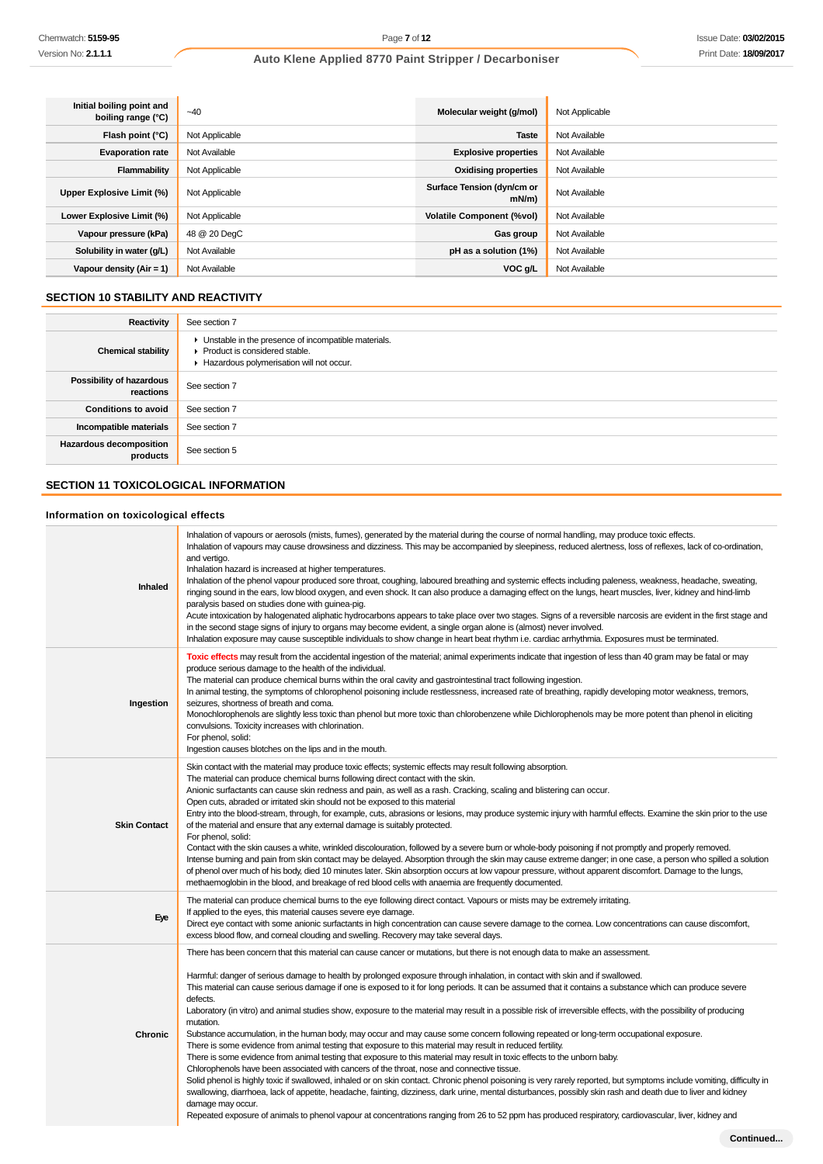ń

# **Auto Klene Applied 8770 Paint Stripper / Decarboniser**

| Initial boiling point and<br>boiling range (°C) | $-40$          | Molecular weight (g/mol)           | Not Applicable |
|-------------------------------------------------|----------------|------------------------------------|----------------|
| Flash point (°C)                                | Not Applicable | <b>Taste</b>                       | Not Available  |
| <b>Evaporation rate</b>                         | Not Available  | <b>Explosive properties</b>        | Not Available  |
| Flammability                                    | Not Applicable | <b>Oxidising properties</b>        | Not Available  |
| Upper Explosive Limit (%)                       | Not Applicable | Surface Tension (dyn/cm or<br>mN/m | Not Available  |
| Lower Explosive Limit (%)                       | Not Applicable | <b>Volatile Component (%vol)</b>   | Not Available  |
| Vapour pressure (kPa)                           | 48 @ 20 DegC   | Gas group                          | Not Available  |
| Solubility in water (g/L)                       | Not Available  | pH as a solution (1%)              | Not Available  |
| Vapour density $(Air = 1)$                      | Not Available  | VOC g/L                            | Not Available  |

# **SECTION 10 STABILITY AND REACTIVITY**

| Reactivity                            | See section 7                                                                                                                        |
|---------------------------------------|--------------------------------------------------------------------------------------------------------------------------------------|
| <b>Chemical stability</b>             | • Unstable in the presence of incompatible materials.<br>▶ Product is considered stable.<br>Hazardous polymerisation will not occur. |
| Possibility of hazardous<br>reactions | See section 7                                                                                                                        |
| <b>Conditions to avoid</b>            | See section 7                                                                                                                        |
| Incompatible materials                | See section 7                                                                                                                        |
| Hazardous decomposition<br>products   | See section 5                                                                                                                        |

# **SECTION 11 TOXICOLOGICAL INFORMATION**

### **Information on toxicological effects**

| Inhaled             | Inhalation of vapours or aerosols (mists, fumes), generated by the material during the course of normal handling, may produce toxic effects.<br>Inhalation of vapours may cause drowsiness and dizziness. This may be accompanied by sleepiness, reduced alertness, loss of reflexes, lack of co-ordination,<br>and vertigo.<br>Inhalation hazard is increased at higher temperatures.<br>Inhalation of the phenol vapour produced sore throat, coughing, laboured breathing and systemic effects including paleness, weakness, headache, sweating,<br>ringing sound in the ears, low blood oxygen, and even shock. It can also produce a damaging effect on the lungs, heart muscles, liver, kidney and hind-limb<br>paralysis based on studies done with guinea-pig.<br>Acute intoxication by halogenated aliphatic hydrocarbons appears to take place over two stages. Signs of a reversible narcosis are evident in the first stage and<br>in the second stage signs of injury to organs may become evident, a single organ alone is (almost) never involved.<br>Inhalation exposure may cause susceptible individuals to show change in heart beat rhythm i.e. cardiac arrhythmia. Exposures must be terminated.                                                                                                                                                                                                                                                                                                                                                                                                            |
|---------------------|----------------------------------------------------------------------------------------------------------------------------------------------------------------------------------------------------------------------------------------------------------------------------------------------------------------------------------------------------------------------------------------------------------------------------------------------------------------------------------------------------------------------------------------------------------------------------------------------------------------------------------------------------------------------------------------------------------------------------------------------------------------------------------------------------------------------------------------------------------------------------------------------------------------------------------------------------------------------------------------------------------------------------------------------------------------------------------------------------------------------------------------------------------------------------------------------------------------------------------------------------------------------------------------------------------------------------------------------------------------------------------------------------------------------------------------------------------------------------------------------------------------------------------------------------------------------------------------------------------------------------------|
| Ingestion           | Toxic effects may result from the accidental ingestion of the material; animal experiments indicate that ingestion of less than 40 gram may be fatal or may<br>produce serious damage to the health of the individual.<br>The material can produce chemical burns within the oral cavity and gastrointestinal tract following ingestion.<br>In animal testing, the symptoms of chlorophenol poisoning include restlessness, increased rate of breathing, rapidly developing motor weakness, tremors,<br>seizures, shortness of breath and coma.<br>Monochlorophenols are slightly less toxic than phenol but more toxic than chlorobenzene while Dichlorophenols may be more potent than phenol in eliciting<br>convulsions. Toxicity increases with chlorination.<br>For phenol, solid:<br>Ingestion causes blotches on the lips and in the mouth.                                                                                                                                                                                                                                                                                                                                                                                                                                                                                                                                                                                                                                                                                                                                                                              |
| <b>Skin Contact</b> | Skin contact with the material may produce toxic effects; systemic effects may result following absorption.<br>The material can produce chemical burns following direct contact with the skin.<br>Anionic surfactants can cause skin redness and pain, as well as a rash. Cracking, scaling and blistering can occur.<br>Open cuts, abraded or irritated skin should not be exposed to this material<br>Entry into the blood-stream, through, for example, cuts, abrasions or lesions, may produce systemic injury with harmful effects. Examine the skin prior to the use<br>of the material and ensure that any external damage is suitably protected.<br>For phenol, solid:<br>Contact with the skin causes a white, wrinkled discolouration, followed by a severe burn or whole-body poisoning if not promptly and properly removed.<br>Intense burning and pain from skin contact may be delayed. Absorption through the skin may cause extreme danger; in one case, a person who spilled a solution<br>of phenol over much of his body, died 10 minutes later. Skin absorption occurs at low vapour pressure, without apparent discomfort. Damage to the lungs,<br>methaemoglobin in the blood, and breakage of red blood cells with anaemia are frequently documented.                                                                                                                                                                                                                                                                                                                                                    |
| Eye                 | The material can produce chemical burns to the eye following direct contact. Vapours or mists may be extremely irritating.<br>If applied to the eyes, this material causes severe eye damage.<br>Direct eye contact with some anionic surfactants in high concentration can cause severe damage to the comea. Low concentrations can cause discomfort,<br>excess blood flow, and corneal clouding and swelling. Recovery may take several days.                                                                                                                                                                                                                                                                                                                                                                                                                                                                                                                                                                                                                                                                                                                                                                                                                                                                                                                                                                                                                                                                                                                                                                                  |
| Chronic             | There has been concern that this material can cause cancer or mutations, but there is not enough data to make an assessment.<br>Harmful: danger of serious damage to health by prolonged exposure through inhalation, in contact with skin and if swallowed.<br>This material can cause serious damage if one is exposed to it for long periods. It can be assumed that it contains a substance which can produce severe<br>defects.<br>Laboratory (in vitro) and animal studies show, exposure to the material may result in a possible risk of irreversible effects, with the possibility of producing<br>mutation.<br>Substance accumulation, in the human body, may occur and may cause some concern following repeated or long-term occupational exposure.<br>There is some evidence from animal testing that exposure to this material may result in reduced fertility.<br>There is some evidence from animal testing that exposure to this material may result in toxic effects to the unborn baby.<br>Chlorophenols have been associated with cancers of the throat, nose and connective tissue.<br>Solid phenol is highly toxic if swallowed, inhaled or on skin contact. Chronic phenol poisoning is very rarely reported, but symptoms include vomiting, difficulty in<br>swallowing, diarrhoea, lack of appetite, headache, fainting, dizziness, dark urine, mental disturbances, possibly skin rash and death due to liver and kidney<br>damage may occur.<br>Repeated exposure of animals to phenol vapour at concentrations ranging from 26 to 52 ppm has produced respiratory, cardiovascular, liver, kidney and |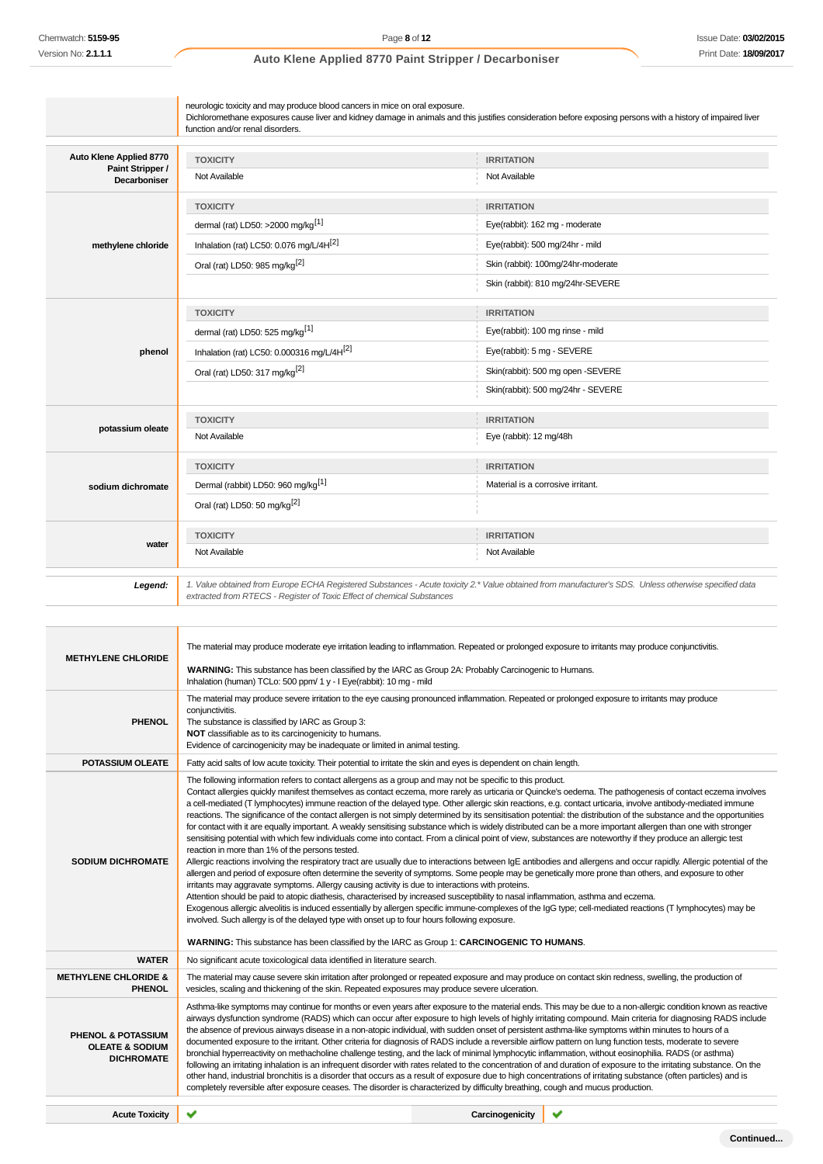| Auto Klene Applied 8770<br>Paint Stripper / | <b>TOXICITY</b>                                                        | <b>IRRITATION</b>                                                                                                                                     |
|---------------------------------------------|------------------------------------------------------------------------|-------------------------------------------------------------------------------------------------------------------------------------------------------|
| <b>Decarboniser</b>                         | Not Available                                                          | Not Available                                                                                                                                         |
|                                             | <b>TOXICITY</b>                                                        | <b>IRRITATION</b>                                                                                                                                     |
|                                             | dermal (rat) LD50: >2000 mg/kg <sup>[1]</sup>                          | Eye(rabbit): 162 mg - moderate                                                                                                                        |
| methylene chloride                          | Inhalation (rat) LC50: 0.076 mg/L/4H[2]                                | Eye(rabbit): 500 mg/24hr - mild                                                                                                                       |
|                                             | Oral (rat) LD50: 985 mg/kg <sup>[2]</sup>                              | Skin (rabbit): 100mg/24hr-moderate                                                                                                                    |
|                                             |                                                                        | Skin (rabbit): 810 mg/24hr-SEVERE                                                                                                                     |
|                                             | <b>TOXICITY</b>                                                        | <b>IRRITATION</b>                                                                                                                                     |
|                                             | dermal (rat) LD50: 525 mg/kg <sup>[1]</sup>                            | Eye(rabbit): 100 mg rinse - mild                                                                                                                      |
| phenol                                      | Inhalation (rat) LC50: 0.000316 mg/L/4H <sup>[2]</sup>                 | Eye(rabbit): 5 mg - SEVERE                                                                                                                            |
|                                             | Oral (rat) LD50: 317 mg/kg <sup>[2]</sup>                              | Skin(rabbit): 500 mg open -SEVERE                                                                                                                     |
|                                             |                                                                        | Skin(rabbit): 500 mg/24hr - SEVERE                                                                                                                    |
|                                             | <b>TOXICITY</b>                                                        | <b>IRRITATION</b>                                                                                                                                     |
| potassium oleate                            | Not Available                                                          | Eye (rabbit): 12 mg/48h                                                                                                                               |
|                                             | <b>TOXICITY</b>                                                        | <b>IRRITATION</b>                                                                                                                                     |
| sodium dichromate                           | Dermal (rabbit) LD50: 960 mg/kg <sup>[1]</sup>                         | Material is a corrosive irritant.                                                                                                                     |
|                                             | Oral (rat) LD50: 50 mg/kg <sup>[2]</sup>                               |                                                                                                                                                       |
|                                             | <b>TOXICITY</b>                                                        | <b>IRRITATION</b>                                                                                                                                     |
| water                                       | Not Available                                                          | Not Available                                                                                                                                         |
| Legend:                                     | extracted from RTECS - Register of Toxic Effect of chemical Substances | 1. Value obtained from Europe ECHA Registered Substances - Acute toxicity 2.* Value obtained from manufacturer's SDS. Unless otherwise specified data |

|                                                                                  | The material may produce moderate eye irritation leading to inflammation. Repeated or prolonged exposure to irritants may produce conjunctivitis.                                                                                                                                                                                                                                                                                                                                                                                                                                                                                                                                                                                                                                                                                                                                                                                                                                                                                                                                                                                                                                                                                                                                                                                                                                                                                                                                                                                                                                                                                                                                                                                                                                                                                                                                                                                             |                 |  |
|----------------------------------------------------------------------------------|-----------------------------------------------------------------------------------------------------------------------------------------------------------------------------------------------------------------------------------------------------------------------------------------------------------------------------------------------------------------------------------------------------------------------------------------------------------------------------------------------------------------------------------------------------------------------------------------------------------------------------------------------------------------------------------------------------------------------------------------------------------------------------------------------------------------------------------------------------------------------------------------------------------------------------------------------------------------------------------------------------------------------------------------------------------------------------------------------------------------------------------------------------------------------------------------------------------------------------------------------------------------------------------------------------------------------------------------------------------------------------------------------------------------------------------------------------------------------------------------------------------------------------------------------------------------------------------------------------------------------------------------------------------------------------------------------------------------------------------------------------------------------------------------------------------------------------------------------------------------------------------------------------------------------------------------------|-----------------|--|
| <b>METHYLENE CHLORIDE</b>                                                        | WARNING: This substance has been classified by the IARC as Group 2A: Probably Carcinogenic to Humans.<br>Inhalation (human) TCLo: 500 ppm/ 1 y - I Eye(rabbit): 10 mg - mild                                                                                                                                                                                                                                                                                                                                                                                                                                                                                                                                                                                                                                                                                                                                                                                                                                                                                                                                                                                                                                                                                                                                                                                                                                                                                                                                                                                                                                                                                                                                                                                                                                                                                                                                                                  |                 |  |
| <b>PHENOL</b>                                                                    | The material may produce severe irritation to the eye causing pronounced inflammation. Repeated or prolonged exposure to irritants may produce<br>conjunctivitis.<br>The substance is classified by IARC as Group 3:<br>NOT classifiable as to its carcinogenicity to humans.<br>Evidence of carcinogenicity may be inadequate or limited in animal testing.                                                                                                                                                                                                                                                                                                                                                                                                                                                                                                                                                                                                                                                                                                                                                                                                                                                                                                                                                                                                                                                                                                                                                                                                                                                                                                                                                                                                                                                                                                                                                                                  |                 |  |
| <b>POTASSIUM OLEATE</b>                                                          | Fatty acid salts of low acute toxicity. Their potential to irritate the skin and eyes is dependent on chain length.                                                                                                                                                                                                                                                                                                                                                                                                                                                                                                                                                                                                                                                                                                                                                                                                                                                                                                                                                                                                                                                                                                                                                                                                                                                                                                                                                                                                                                                                                                                                                                                                                                                                                                                                                                                                                           |                 |  |
| <b>SODIUM DICHROMATE</b>                                                         | The following information refers to contact allergens as a group and may not be specific to this product.<br>Contact allergies quickly manifest themselves as contact eczema, more rarely as urticaria or Quincke's oedema. The pathogenesis of contact eczema involves<br>a cell-mediated (T lymphocytes) immune reaction of the delayed type. Other allergic skin reactions, e.g. contact urticaria, involve antibody-mediated immune<br>reactions. The significance of the contact allergen is not simply determined by its sensitisation potential: the distribution of the substance and the opportunities<br>for contact with it are equally important. A weakly sensitising substance which is widely distributed can be a more important allergen than one with stronger<br>sensitising potential with which few individuals come into contact. From a clinical point of view, substances are noteworthy if they produce an allergic test<br>reaction in more than 1% of the persons tested.<br>Allergic reactions involving the respiratory tract are usually due to interactions between IgE antibodies and allergens and occur rapidly. Allergic potential of the<br>allergen and period of exposure often determine the severity of symptoms. Some people may be genetically more prone than others, and exposure to other<br>irritants may aggravate symptoms. Allergy causing activity is due to interactions with proteins.<br>Attention should be paid to atopic diathesis, characterised by increased susceptibility to nasal inflammation, asthma and eczema.<br>Exogenous allergic alveolitis is induced essentially by allergen specific immune-complexes of the IgG type; cell-mediated reactions (T lymphocytes) may be<br>involved. Such allergy is of the delayed type with onset up to four hours following exposure.<br>WARNING: This substance has been classified by the IARC as Group 1: CARCINOGENIC TO HUMANS. |                 |  |
| <b>WATER</b>                                                                     | No significant acute toxicological data identified in literature search.                                                                                                                                                                                                                                                                                                                                                                                                                                                                                                                                                                                                                                                                                                                                                                                                                                                                                                                                                                                                                                                                                                                                                                                                                                                                                                                                                                                                                                                                                                                                                                                                                                                                                                                                                                                                                                                                      |                 |  |
| <b>METHYLENE CHLORIDE &amp;</b><br><b>PHENOL</b>                                 | The material may cause severe skin irritation after prolonged or repeated exposure and may produce on contact skin redness, swelling, the production of<br>vesicles, scaling and thickening of the skin. Repeated exposures may produce severe ulceration.                                                                                                                                                                                                                                                                                                                                                                                                                                                                                                                                                                                                                                                                                                                                                                                                                                                                                                                                                                                                                                                                                                                                                                                                                                                                                                                                                                                                                                                                                                                                                                                                                                                                                    |                 |  |
| <b>PHENOL &amp; POTASSIUM</b><br><b>OLEATE &amp; SODIUM</b><br><b>DICHROMATE</b> | Asthma-like symptoms may continue for months or even years after exposure to the material ends. This may be due to a non-allergic condition known as reactive<br>airways dysfunction syndrome (RADS) which can occur after exposure to high levels of highly irritating compound. Main criteria for diagnosing RADS include<br>the absence of previous airways disease in a non-atopic individual, with sudden onset of persistent asthma-like symptoms within minutes to hours of a<br>documented exposure to the irritant. Other criteria for diagnosis of RADS include a reversible airflow pattern on lung function tests, moderate to severe<br>bronchial hyperreactivity on methacholine challenge testing, and the lack of minimal lymphocytic inflammation, without eosinophilia. RADS (or asthma)<br>following an irritating inhalation is an infrequent disorder with rates related to the concentration of and duration of exposure to the irritating substance. On the<br>other hand, industrial bronchitis is a disorder that occurs as a result of exposure due to high concentrations of irritating substance (often particles) and is<br>completely reversible after exposure ceases. The disorder is characterized by difficulty breathing, cough and mucus production.                                                                                                                                                                                                                                                                                                                                                                                                                                                                                                                                                                                                                                                      |                 |  |
| <b>Acute Toxicity</b>                                                            |                                                                                                                                                                                                                                                                                                                                                                                                                                                                                                                                                                                                                                                                                                                                                                                                                                                                                                                                                                                                                                                                                                                                                                                                                                                                                                                                                                                                                                                                                                                                                                                                                                                                                                                                                                                                                                                                                                                                               | Carcinogenicity |  |
|                                                                                  |                                                                                                                                                                                                                                                                                                                                                                                                                                                                                                                                                                                                                                                                                                                                                                                                                                                                                                                                                                                                                                                                                                                                                                                                                                                                                                                                                                                                                                                                                                                                                                                                                                                                                                                                                                                                                                                                                                                                               |                 |  |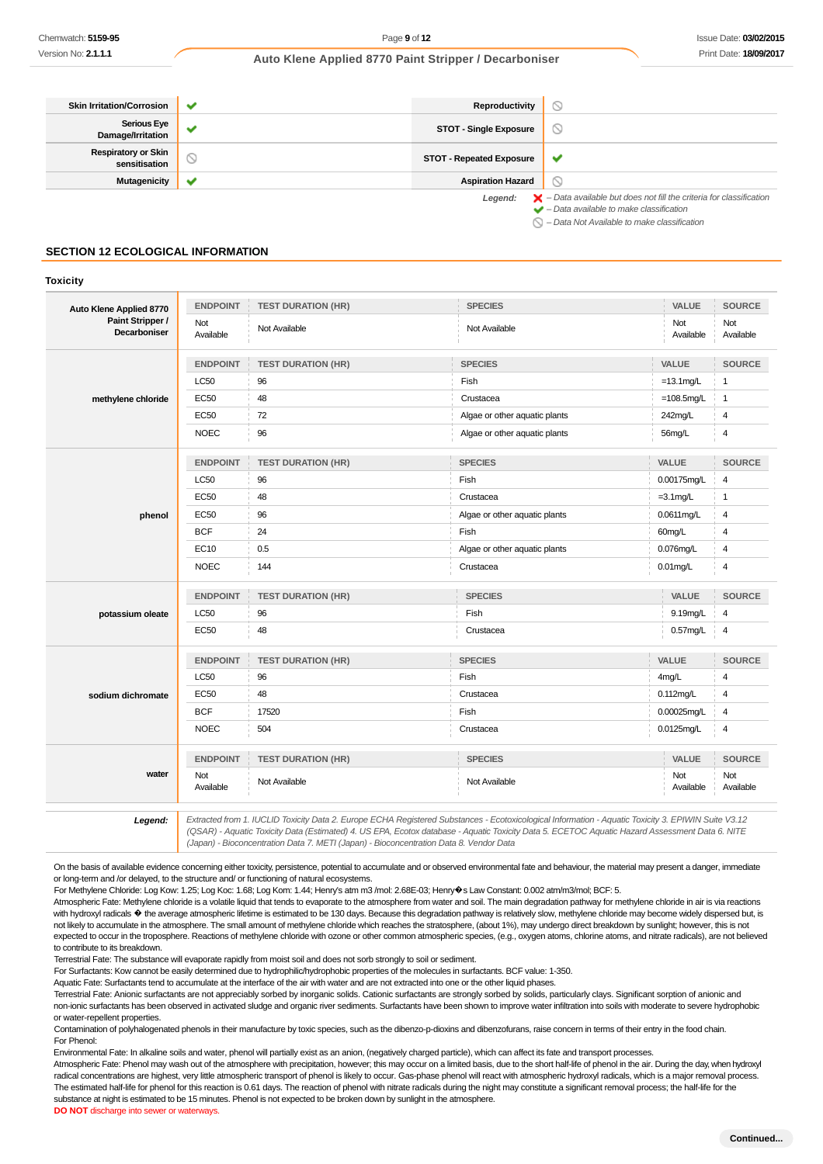| <b>Skin Irritation/Corrosion</b>            | ັ                        | Reproductivity                  |                                                                                                                                                           |
|---------------------------------------------|--------------------------|---------------------------------|-----------------------------------------------------------------------------------------------------------------------------------------------------------|
| <b>Serious Eye</b><br>Damage/Irritation     | $\overline{\phantom{a}}$ | <b>STOT - Single Exposure</b>   | Y                                                                                                                                                         |
| <b>Respiratory or Skin</b><br>sensitisation | ∾                        | <b>STOT - Repeated Exposure</b> | v                                                                                                                                                         |
| <b>Mutagenicity</b>                         | w                        | <b>Aspiration Hazard</b>        |                                                                                                                                                           |
|                                             |                          | Legend:                         | $\blacktriangleright$ - Data available but does not fill the criteria for classification<br>$\blacktriangleright$ - Data available to make classification |

 $\bigcirc$  – Data Not Available to make classification

#### **SECTION 12 ECOLOGICAL INFORMATION**

#### **Toxicity**

| Auto Klene Applied 8770                 | <b>ENDPOINT</b>  | <b>TEST DURATION (HR)</b> | <b>SPECIES</b>                | VALUE            | <b>SOURCE</b>    |
|-----------------------------------------|------------------|---------------------------|-------------------------------|------------------|------------------|
| Paint Stripper /<br><b>Decarboniser</b> | Not<br>Available | Not Available             | Not Available                 | Not<br>Available | Not<br>Available |
|                                         | <b>ENDPOINT</b>  | <b>TEST DURATION (HR)</b> | <b>SPECIES</b>                | VALUE            | <b>SOURCE</b>    |
|                                         | <b>LC50</b>      | 96                        | Fish                          | $=13.1$ mg/L     | $\overline{1}$   |
| methylene chloride                      | <b>EC50</b>      | 48                        | Crustacea                     | $=108.5$ mg/L    | $\overline{1}$   |
|                                         | <b>EC50</b>      | 72                        | Algae or other aquatic plants | 242mg/L          | 4                |
|                                         | <b>NOEC</b>      | 96                        | Algae or other aquatic plants | 56mg/L           | $\overline{4}$   |
|                                         | <b>ENDPOINT</b>  | <b>TEST DURATION (HR)</b> | <b>SPECIES</b>                | VALUE            | <b>SOURCE</b>    |
|                                         | <b>LC50</b>      | 96                        | Fish                          | 0.00175mg/L      | 4                |
|                                         | <b>EC50</b>      | 48                        | Crustacea                     | $=3.1$ mg/L      | $\overline{1}$   |
| phenol                                  | EC50             | 96                        | Algae or other aquatic plants | 0.0611mg/L       | 4                |
|                                         | <b>BCF</b>       | 24                        | Fish                          | 60mg/L           | 4                |
|                                         | <b>EC10</b>      | 0.5                       | Algae or other aquatic plants | 0.076mg/L        | $\overline{4}$   |
|                                         | <b>NOEC</b>      | 144                       | Crustacea                     | $0.01$ mg/L      | $\overline{4}$   |
|                                         | <b>ENDPOINT</b>  | <b>TEST DURATION (HR)</b> | <b>SPECIES</b>                | VALUE            | <b>SOURCE</b>    |
| potassium oleate                        | LC50             | 96                        | Fish                          | 9.19mg/L         | 4                |
|                                         | <b>EC50</b>      | 48                        | Crustacea                     | 0.57mg/L         | 4                |
|                                         | <b>ENDPOINT</b>  | <b>TEST DURATION (HR)</b> | <b>SPECIES</b>                | VALUE            | <b>SOURCE</b>    |
|                                         | LC50             | 96                        | Fish                          | 4mg/L            | $\overline{4}$   |
| sodium dichromate                       | <b>EC50</b>      | 48                        | Crustacea                     | $0.112$ mg/L     | 4                |
|                                         | <b>BCF</b>       | 17520                     | Fish                          | 0.00025mg/L      | $\overline{4}$   |
|                                         | <b>NOEC</b>      | 504                       | Crustacea                     | $0.0125$ mg/L    | $\overline{4}$   |
|                                         | <b>ENDPOINT</b>  | <b>TEST DURATION (HR)</b> | <b>SPECIES</b>                | VALUE            | <b>SOURCE</b>    |
| water                                   | Not<br>Available | Not Available             | Not Available                 | Not<br>Available | Not<br>Available |

13.12 Extracted from 1. IUCLID Toxicity Data 2. Europe ECHA Registered Substances - Ecotoxicological Information - Aquatic Toxicity 3. EPIWIN Suite V3.12<br>QSAR) - Aquatic Toxicity Data (Estimated) 4. US EPA, Ecotox database (Japan) - Bioconcentration Data 7. METI (Japan) - Bioconcentration Data 8. Vendor Data

On the basis of available evidence concerning either toxicity, persistence, potential to accumulate and or observed environmental fate and behaviour, the material may present a danger, immediate or long-term and /or delayed, to the structure and/ or functioning of natural ecosystems.

For Methylene Chloride: Log Kow: 1.25; Log Koc: 1.68; Log Kom: 1.44; Henry's atm m3 /mol: 2.68E-03; Henry�s Law Constant: 0.002 atm/m3/mol; BCF: 5.

Atmospheric Fate: Methylene chloride is a volatile liquid that tends to evaporate to the atmosphere from water and soil. The main degradation pathway for methylene chloride in air is via reactions with hydroxyl radicals  $\bullet$  the average atmospheric lifetime is estimated to be 130 days. Because this degradation pathway is relatively slow, methylene chloride may become widely dispersed but, is not likely to accumulate in the atmosphere. The small amount of methylene chloride which reaches the stratosphere, (about 1%), may undergo direct breakdown by sunlight; however, this is not expected to occur in the troposphere. Reactions of methylene chloride with ozone or other common atmospheric species, (e.g., oxygen atoms, chlorine atoms, and nitrate radicals), are not believed to contribute to its breakdown.

Terrestrial Fate: The substance will evaporate rapidly from moist soil and does not sorb strongly to soil or sediment.

For Surfactants: Kow cannot be easily determined due to hydrophilic/hydrophobic properties of the molecules in surfactants. BCF value: 1-350.

Aquatic Fate: Surfactants tend to accumulate at the interface of the air with water and are not extracted into one or the other liquid phases.

Terrestrial Fate: Anionic surfactants are not appreciably sorbed by inorganic solids. Cationic surfactants are strongly sorbed by solids, particularly clays. Significant sorption of anionic and non-ionic surfactants has been observed in activated sludge and organic river sediments. Surfactants have been shown to improve water infiltration into soils with moderate to severe hydrophobic or water-repellent properties.

Contamination of polyhalogenated phenols in their manufacture by toxic species, such as the dibenzo-p-dioxins and dibenzofurans, raise concern in terms of their entry in the food chain. For Phenol:

Environmental Fate: In alkaline soils and water, phenol will partially exist as an anion, (negatively charged particle), which can affect its fate and transport processes.

Atmospheric Fate: Phenol may wash out of the atmosphere with precipitation, however; this may occur on a limited basis, due to the short half-life of phenol in the air. During the day, when hydroxyl radical concentrations are highest, very little atmospheric transport of phenol is likely to occur. Gas-phase phenol will react with atmospheric hydroxyl radicals, which is a major removal process. The estimated half-life for phenol for this reaction is 0.61 days. The reaction of phenol with nitrate radicals during the night may constitute a significant removal process; the half-life for the substance at night is estimated to be 15 minutes. Phenol is not expected to be broken down by sunlight in the atmosphere.

**DO NOT** discharge into sewer or waterways.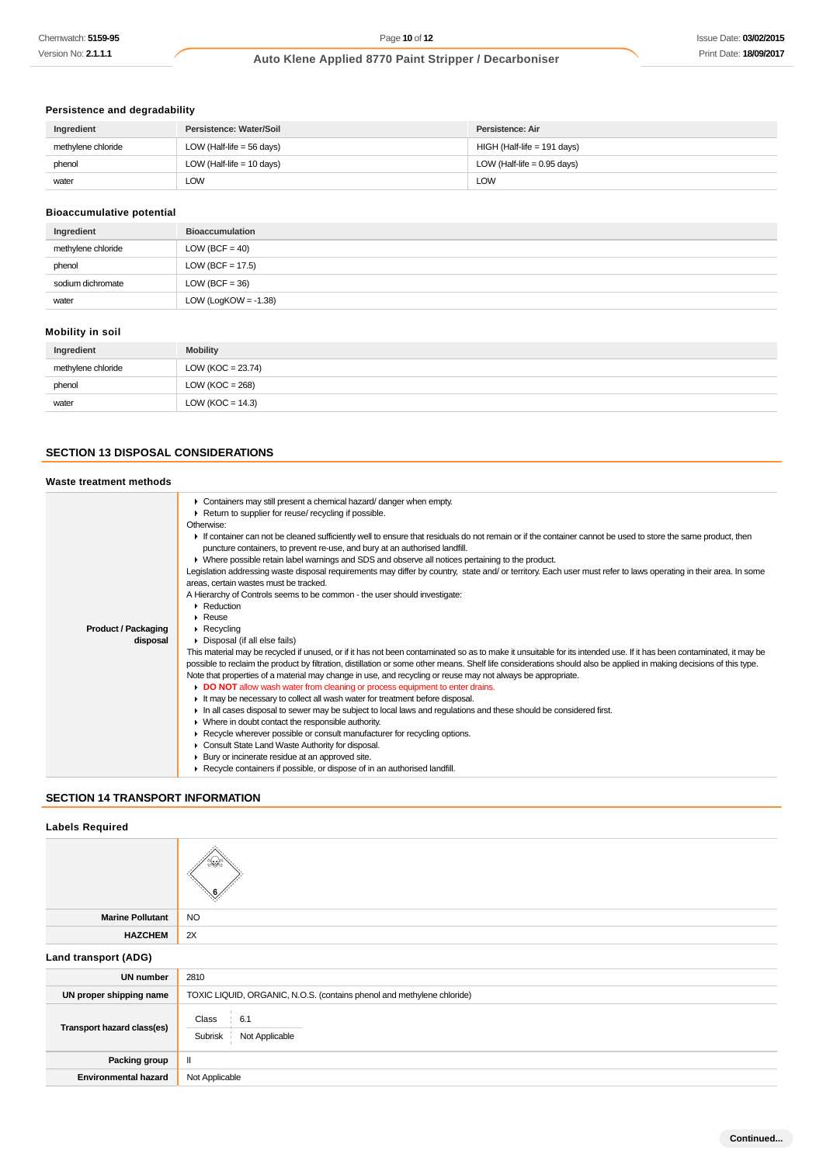# **Persistence and degradability**

| Ingredient         | Persistence: Water/Soil     | Persistence: Air              |
|--------------------|-----------------------------|-------------------------------|
| methylene chloride | LOW (Half-life $=$ 56 days) | HIGH (Half-life = 191 days)   |
| phenol             | LOW (Half-life $= 10$ days) | LOW (Half-life = $0.95$ days) |
| water              | LOW                         | LOW                           |

# **Bioaccumulative potential**

| Ingredient         | <b>Bioaccumulation</b>  |
|--------------------|-------------------------|
| methylene chloride | LOW (BCF = $40$ )       |
| phenol             | LOW (BCF = $17.5$ )     |
| sodium dichromate  | LOW (BCF = $36$ )       |
| water              | LOW (LogKOW = $-1.38$ ) |

# **Mobility in soil**

| Ingredient         | <b>Mobility</b>      |
|--------------------|----------------------|
| methylene chloride | LOW (KOC = $23.74$ ) |
| phenol             | $LOW (KOC = 268)$    |
| water              | LOW ( $KOC = 14.3$ ) |

# **SECTION 13 DISPOSAL CONSIDERATIONS**

# **Waste treatment methods**

| <b>Product / Packaging</b><br>disposal | Containers may still present a chemical hazard/ danger when empty.<br>Return to supplier for reuse/ recycling if possible.<br>Otherwise:<br>If container can not be cleaned sufficiently well to ensure that residuals do not remain or if the container cannot be used to store the same product, then<br>puncture containers, to prevent re-use, and bury at an authorised landfill.<br>$\blacktriangleright$ Where possible retain label warnings and SDS and observe all notices pertaining to the product.<br>Legislation addressing waste disposal requirements may differ by country, state and/ or territory. Each user must refer to laws operating in their area. In some<br>areas, certain wastes must be tracked.<br>A Hierarchy of Controls seems to be common - the user should investigate:<br>• Reduction<br>$\triangleright$ Reuse<br>$\triangleright$ Recycling<br>• Disposal (if all else fails)<br>This material may be recycled if unused, or if it has not been contaminated so as to make it unsuitable for its intended use. If it has been contaminated, it may be |
|----------------------------------------|---------------------------------------------------------------------------------------------------------------------------------------------------------------------------------------------------------------------------------------------------------------------------------------------------------------------------------------------------------------------------------------------------------------------------------------------------------------------------------------------------------------------------------------------------------------------------------------------------------------------------------------------------------------------------------------------------------------------------------------------------------------------------------------------------------------------------------------------------------------------------------------------------------------------------------------------------------------------------------------------------------------------------------------------------------------------------------------------|
|                                        | possible to reclaim the product by filtration, distillation or some other means. Shelf life considerations should also be applied in making decisions of this type.<br>Note that properties of a material may change in use, and recycling or reuse may not always be appropriate.<br>DO NOT allow wash water from cleaning or process equipment to enter drains.                                                                                                                                                                                                                                                                                                                                                                                                                                                                                                                                                                                                                                                                                                                           |
|                                        | It may be necessary to collect all wash water for treatment before disposal.<br>In all cases disposal to sewer may be subject to local laws and regulations and these should be considered first.<br>• Where in doubt contact the responsible authority.<br>▶ Recycle wherever possible or consult manufacturer for recycling options.<br>Consult State Land Waste Authority for disposal.                                                                                                                                                                                                                                                                                                                                                                                                                                                                                                                                                                                                                                                                                                  |
|                                        | Bury or incinerate residue at an approved site.<br>Recycle containers if possible, or dispose of in an authorised landfill.                                                                                                                                                                                                                                                                                                                                                                                                                                                                                                                                                                                                                                                                                                                                                                                                                                                                                                                                                                 |

# **SECTION 14 TRANSPORT INFORMATION**

# **Labels Required**

| <b>Marine Pollutant</b>     | <b>NO</b>                                                              |
|-----------------------------|------------------------------------------------------------------------|
| <b>HAZCHEM</b>              | 2X                                                                     |
| Land transport (ADG)        |                                                                        |
| <b>UN number</b>            | 2810                                                                   |
| UN proper shipping name     | TOXIC LIQUID, ORGANIC, N.O.S. (contains phenol and methylene chloride) |
| Transport hazard class(es)  | Class<br>6.1<br>Not Applicable<br>Subrisk                              |
| Packing group               | $\mathbf{II}$                                                          |
| <b>Environmental hazard</b> | Not Applicable                                                         |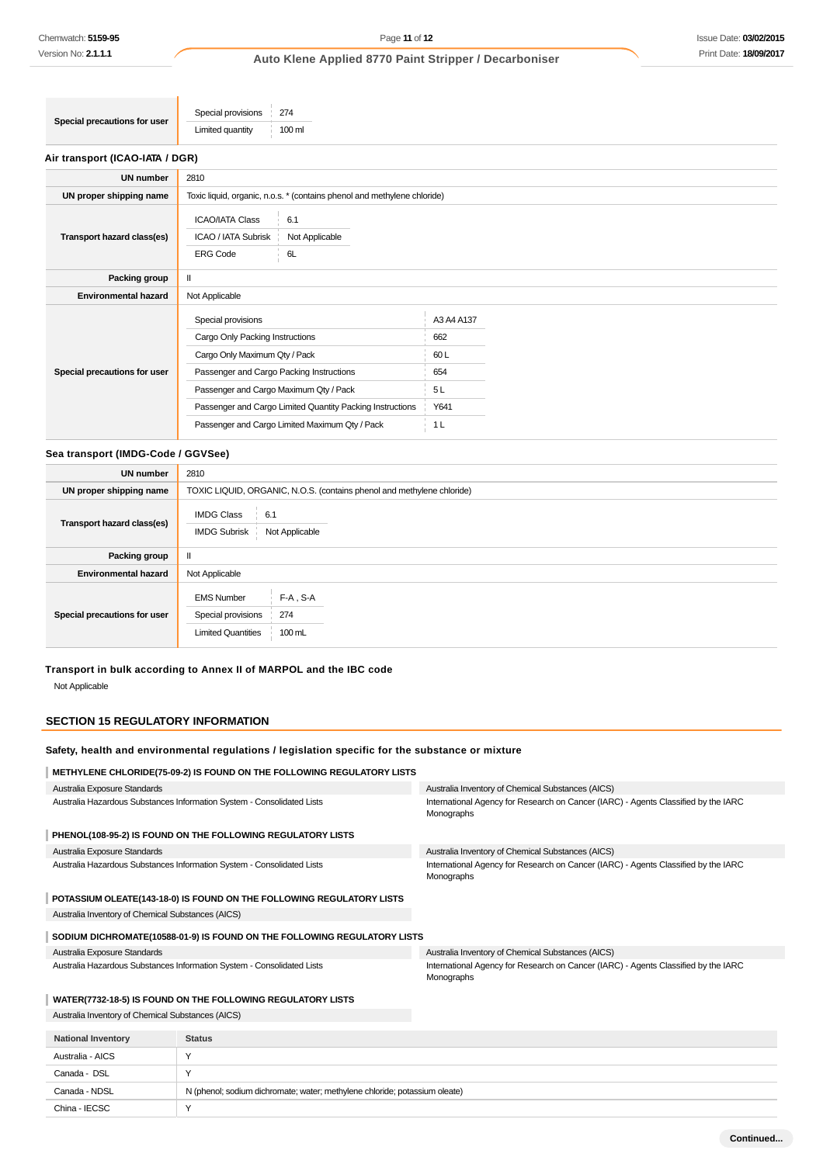# **Air transport (ICAO-IATA / DGR)**

| <b>UN number</b>             | 2810                                                                                                                                                                                                                                                                                        |                                                                 |
|------------------------------|---------------------------------------------------------------------------------------------------------------------------------------------------------------------------------------------------------------------------------------------------------------------------------------------|-----------------------------------------------------------------|
| UN proper shipping name      | Toxic liquid, organic, n.o.s. * (contains phenol and methylene chloride)                                                                                                                                                                                                                    |                                                                 |
| Transport hazard class(es)   | <b>ICAO/IATA Class</b><br>6.1<br>ICAO / IATA Subrisk<br>Not Applicable<br><b>ERG Code</b><br>6L                                                                                                                                                                                             |                                                                 |
| Packing group                | Ш                                                                                                                                                                                                                                                                                           |                                                                 |
| <b>Environmental hazard</b>  | Not Applicable                                                                                                                                                                                                                                                                              |                                                                 |
| Special precautions for user | Special provisions<br>Cargo Only Packing Instructions<br>Cargo Only Maximum Qty / Pack<br>Passenger and Cargo Packing Instructions<br>Passenger and Cargo Maximum Qty / Pack<br>Passenger and Cargo Limited Quantity Packing Instructions<br>Passenger and Cargo Limited Maximum Qty / Pack | A3 A4 A137<br>662<br>60L<br>654<br>5L<br>Y641<br>1 <sub>L</sub> |

#### **Sea transport (IMDG-Code / GGVSee)**

| <b>UN number</b>             | 2810                                                                                                 |  |  |
|------------------------------|------------------------------------------------------------------------------------------------------|--|--|
| UN proper shipping name      | TOXIC LIQUID, ORGANIC, N.O.S. (contains phenol and methylene chloride)                               |  |  |
| Transport hazard class(es)   | <b>IMDG Class</b><br>6.1<br><b>IMDG Subrisk</b><br>Not Applicable                                    |  |  |
| Packing group                |                                                                                                      |  |  |
| <b>Environmental hazard</b>  | Not Applicable                                                                                       |  |  |
| Special precautions for user | $F-A$ , S-A<br><b>EMS Number</b><br>Special provisions<br>274<br><b>Limited Quantities</b><br>100 mL |  |  |

# **Transport in bulk according to Annex II of MARPOL and the IBC code** Not Applicable

### **SECTION 15 REGULATORY INFORMATION**

# **Safety, health and environmental regulations / legislation specific for the substance or mixture**

**METHYLENE CHLORIDE(75-09-2) IS FOUND ON THE FOLLOWING REGULATORY LISTS** Australia Exposure Standards Australia Hazardous Substances Information System - Consolidated Lists Australia Inventory of Chemical Substances (AICS) International Agency for Research on Cancer (IARC) - Agents Classified by the IARC Monographs **PHENOL(108-95-2) IS FOUND ON THE FOLLOWING REGULATORY LISTS** Australia Exposure Standards Australia Hazardous Substances Information System - Consolidated Lists Australia Inventory of Chemical Substances (AICS) International Agency for Research on Cancer (IARC) - Agents Classified by the IARC Monographs **POTASSIUM OLEATE(143-18-0) IS FOUND ON THE FOLLOWING REGULATORY LISTS** Australia Inventory of Chemical Substances (AICS) **SODIUM DICHROMATE(10588-01-9) IS FOUND ON THE FOLLOWING REGULATORY LISTS** Australia Exposure Standards Australia Hazardous Substances Information System - Consolidated Lists Australia Inventory of Chemical Substances (AICS) International Agency for Research on Cancer (IARC) - Agents Classified by the IARC Monographs **WATER(7732-18-5) IS FOUND ON THE FOLLOWING REGULATORY LISTS**

Australia Inventory of Chemical Substances (AICS)

| <b>National Inventory</b> | <b>Status</b>                                                              |
|---------------------------|----------------------------------------------------------------------------|
| Australia - AICS          |                                                                            |
| Canada - DSL              |                                                                            |
| Canada - NDSL             | N (phenol; sodium dichromate; water; methylene chloride; potassium oleate) |
| China - IECSC             |                                                                            |
|                           |                                                                            |